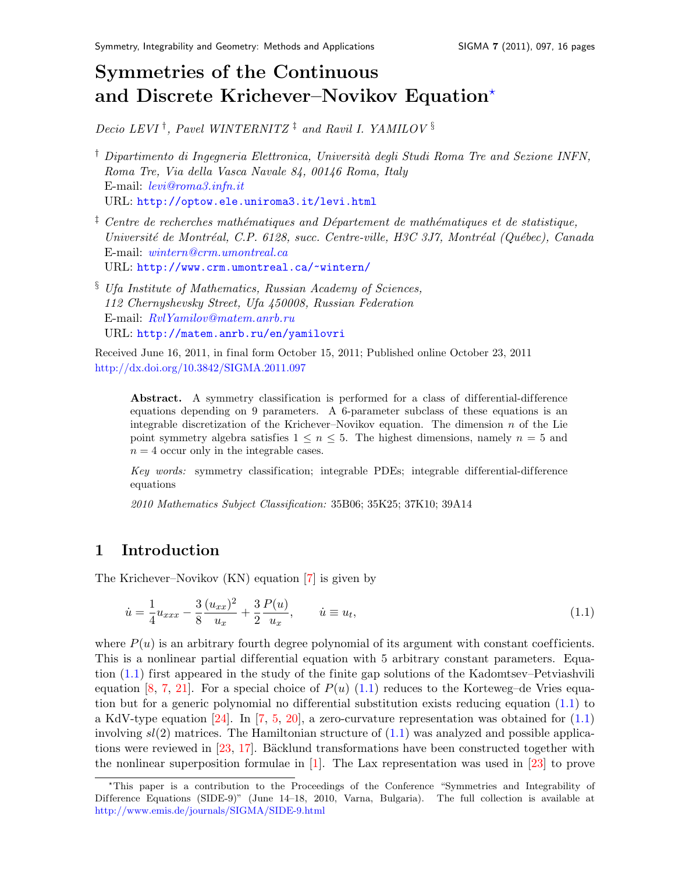# Symmetries of the Continuous and Discrete Krichever–Novikov Equation[?](#page-0-0)

Decio LEVI<sup>†</sup>, Pavel WINTERNITZ<sup>†</sup> and Ravil I. YAMILOV<sup>§</sup>

- $\dagger$  Dipartimento di Ingegneria Elettronica, Università degli Studi Roma Tre and Sezione INFN, Roma Tre, Via della Vasca Navale 84, 00146 Roma, Italy E-mail: [levi@roma3.infn.it](mailto:levi@roma3.infn.it) URL: <http://optow.ele.uniroma3.it/levi.html>
- $\frac{1}{2}$  Centre de recherches mathématiques and Département de mathématiques et de statistique, Université de Montréal, C.P. 6128, succ. Centre-ville, H3C 3J7, Montréal (Québec), Canada E-mail: [wintern@crm.umontreal.ca](mailto:wintern@crm.umontreal.ca) URL: <http://www.crm.umontreal.ca/~wintern/>
- § Ufa Institute of Mathematics, Russian Academy of Sciences, 112 Chernyshevsky Street, Ufa 450008, Russian Federation E-mail: [RvlYamilov@matem.anrb.ru](mailto:RvlYamilov@matem.anrb.ru) URL: <http://matem.anrb.ru/en/yamilovri>

Received June 16, 2011, in final form October 15, 2011; Published online October 23, 2011 <http://dx.doi.org/10.3842/SIGMA.2011.097>

Abstract. A symmetry classification is performed for a class of differential-difference equations depending on 9 parameters. A 6-parameter subclass of these equations is an integrable discretization of the Krichever–Novikov equation. The dimension  $n$  of the Lie point symmetry algebra satisfies  $1 \leq n \leq 5$ . The highest dimensions, namely  $n = 5$  and  $n = 4$  occur only in the integrable cases.

 $Key words:$  symmetry classification; integrable PDEs; integrable differential-difference equations

2010 Mathematics Subject Classification: 35B06; 35K25; 37K10; 39A14

## 1 Introduction

The Krichever–Novikov (KN) equation [\[7\]](#page-14-0) is given by

<span id="page-0-1"></span>
$$
\dot{u} = \frac{1}{4} u_{xxx} - \frac{3}{8} \frac{(u_{xx})^2}{u_x} + \frac{3}{2} \frac{P(u)}{u_x}, \qquad \dot{u} \equiv u_t,
$$
\n(1.1)

where  $P(u)$  is an arbitrary fourth degree polynomial of its argument with constant coefficients. This is a nonlinear partial differential equation with 5 arbitrary constant parameters. Equation [\(1.1\)](#page-0-1) first appeared in the study of the finite gap solutions of the Kadomtsev–Petviashvili equation [\[8,](#page-14-1) [7,](#page-14-0) [21\]](#page-14-2). For a special choice of  $P(u)$  [\(1.1\)](#page-0-1) reduces to the Korteweg–de Vries equation but for a generic polynomial no differential substitution exists reducing equation  $(1.1)$  to a KdV-type equation  $[24]$ . In  $[7, 5, 20]$  $[7, 5, 20]$  $[7, 5, 20]$  $[7, 5, 20]$  $[7, 5, 20]$ , a zero-curvature representation was obtained for  $(1.1)$ involving  $sl(2)$  matrices. The Hamiltonian structure of  $(1.1)$  was analyzed and possible applications were reviewed in  $[23, 17]$  $[23, 17]$  $[23, 17]$ . Bäcklund transformations have been constructed together with the nonlinear superposition formulae in [\[1\]](#page-14-8). The Lax representation was used in [\[23\]](#page-14-6) to prove

<span id="page-0-0"></span><sup>?</sup>This paper is a contribution to the Proceedings of the Conference "Symmetries and Integrability of Difference Equations (SIDE-9)" (June 14–18, 2010, Varna, Bulgaria). The full collection is available at <http://www.emis.de/journals/SIGMA/SIDE-9.html>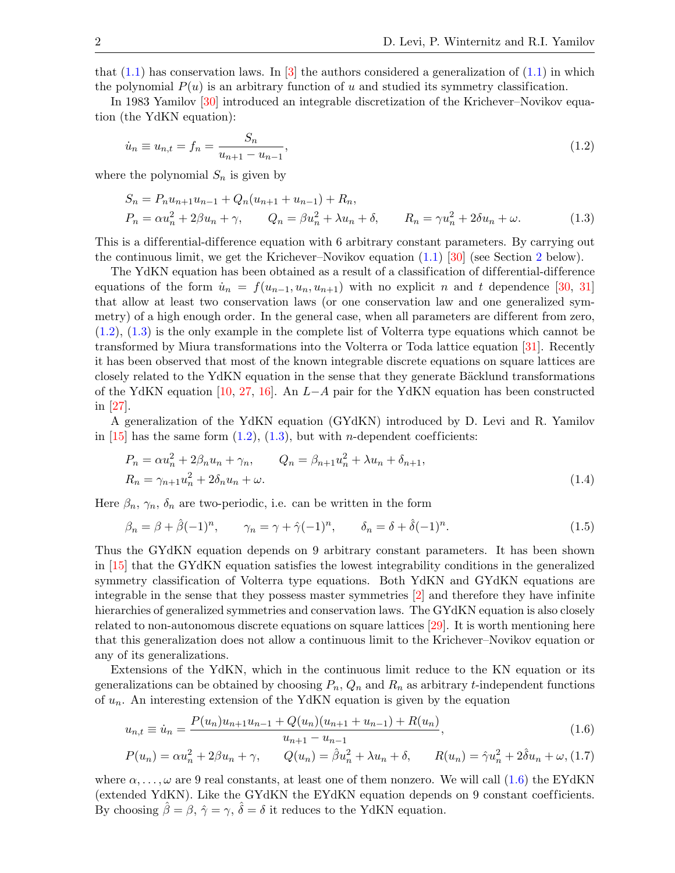that  $(1.1)$  has conservation laws. In  $\boxed{3}$  the authors considered a generalization of  $(1.1)$  in which the polynomial  $P(u)$  is an arbitrary function of u and studied its symmetry classification.

In 1983 Yamilov [\[30\]](#page-15-0) introduced an integrable discretization of the Krichever–Novikov equation (the YdKN equation):

<span id="page-1-0"></span>
$$
\dot{u}_n \equiv u_{n,t} = f_n = \frac{S_n}{u_{n+1} - u_{n-1}},\tag{1.2}
$$

where the polynomial  $S_n$  is given by

<span id="page-1-1"></span>
$$
S_n = P_n u_{n+1} u_{n-1} + Q_n (u_{n+1} + u_{n-1}) + R_n,
$$
  
\n
$$
P_n = \alpha u_n^2 + 2\beta u_n + \gamma, \qquad Q_n = \beta u_n^2 + \lambda u_n + \delta, \qquad R_n = \gamma u_n^2 + 2\delta u_n + \omega.
$$
\n(1.3)

This is a differential-difference equation with 6 arbitrary constant parameters. By carrying out the continuous limit, we get the Krichever–Novikov equation [\(1.1\)](#page-0-1) [\[30\]](#page-15-0) (see Section [2](#page-2-0) below).

The YdKN equation has been obtained as a result of a classification of differential-difference equations of the form  $\dot{u}_n = f(u_{n-1}, u_n, u_{n+1})$  with no explicit n and t dependence [\[30,](#page-15-0) [31\]](#page-15-1) that allow at least two conservation laws (or one conservation law and one generalized symmetry) of a high enough order. In the general case, when all parameters are different from zero, [\(1.2\)](#page-1-0), [\(1.3\)](#page-1-1) is the only example in the complete list of Volterra type equations which cannot be transformed by Miura transformations into the Volterra or Toda lattice equation [\[31\]](#page-15-1). Recently it has been observed that most of the known integrable discrete equations on square lattices are closely related to the YdKN equation in the sense that they generate Bäcklund transformations of the YdKN equation [\[10,](#page-14-10) [27,](#page-15-2) [16\]](#page-14-11). An L−A pair for the YdKN equation has been constructed in [\[27\]](#page-15-2).

A generalization of the YdKN equation (GYdKN) introduced by D. Levi and R. Yamilov in  $[15]$  has the same form  $(1.2)$ ,  $(1.3)$ , but with *n*-dependent coefficients:

<span id="page-1-4"></span>
$$
P_n = \alpha u_n^2 + 2\beta_n u_n + \gamma_n, \qquad Q_n = \beta_{n+1} u_n^2 + \lambda u_n + \delta_{n+1},
$$
  
\n
$$
R_n = \gamma_{n+1} u_n^2 + 2\delta_n u_n + \omega.
$$
\n(1.4)

Here  $\beta_n$ ,  $\gamma_n$ ,  $\delta_n$  are two-periodic, i.e. can be written in the form

<span id="page-1-5"></span>
$$
\beta_n = \beta + \hat{\beta}(-1)^n, \qquad \gamma_n = \gamma + \hat{\gamma}(-1)^n, \qquad \delta_n = \delta + \hat{\delta}(-1)^n. \tag{1.5}
$$

Thus the GYdKN equation depends on 9 arbitrary constant parameters. It has been shown in [\[15\]](#page-14-12) that the GYdKN equation satisfies the lowest integrability conditions in the generalized symmetry classification of Volterra type equations. Both YdKN and GYdKN equations are integrable in the sense that they possess master symmetries [\[2\]](#page-14-13) and therefore they have infinite hierarchies of generalized symmetries and conservation laws. The GYdKN equation is also closely related to non-autonomous discrete equations on square lattices [\[29\]](#page-15-3). It is worth mentioning here that this generalization does not allow a continuous limit to the Krichever–Novikov equation or any of its generalizations.

Extensions of the YdKN, which in the continuous limit reduce to the KN equation or its generalizations can be obtained by choosing  $P_n$ ,  $Q_n$  and  $R_n$  as arbitrary t-independent functions of  $u_n$ . An interesting extension of the YdKN equation is given by the equation

<span id="page-1-3"></span><span id="page-1-2"></span>
$$
u_{n,t} \equiv \dot{u}_n = \frac{P(u_n)u_{n+1}u_{n-1} + Q(u_n)(u_{n+1} + u_{n-1}) + R(u_n)}{u_{n+1} - u_{n-1}},
$$
\n(1.6)

$$
P(u_n) = \alpha u_n^2 + 2\beta u_n + \gamma, \qquad Q(u_n) = \hat{\beta} u_n^2 + \lambda u_n + \delta, \qquad R(u_n) = \hat{\gamma} u_n^2 + 2\hat{\delta} u_n + \omega, \tag{1.7}
$$

where  $\alpha, \ldots, \omega$  are 9 real constants, at least one of them nonzero. We will call [\(1.6\)](#page-1-2) the EYdKN (extended YdKN). Like the GYdKN the EYdKN equation depends on 9 constant coefficients. By choosing  $\hat{\beta} = \beta$ ,  $\hat{\gamma} = \gamma$ ,  $\hat{\delta} = \delta$  it reduces to the YdKN equation.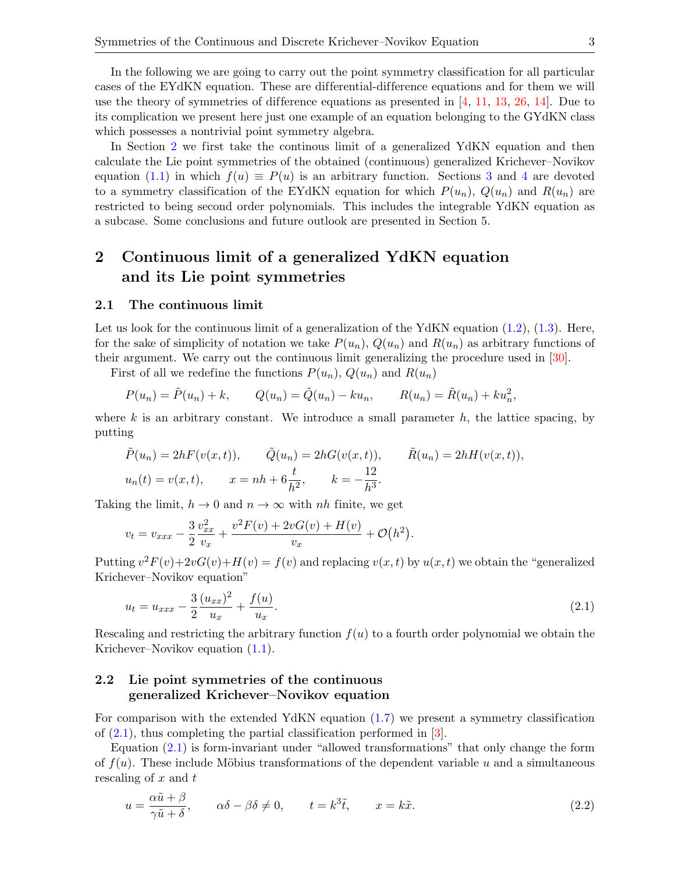In Section [2](#page-2-0) we first take the continous limit of a generalized YdKN equation and then calculate the Lie point symmetries of the obtained (continuous) generalized Krichever–Novikov equation [\(1.1\)](#page-0-1) in which  $f(u) \equiv P(u)$  is an arbitrary function. Sections [3](#page-4-0) and [4](#page-7-0) are devoted to a symmetry classification of the EYdKN equation for which  $P(u_n)$ ,  $Q(u_n)$  and  $R(u_n)$  are restricted to being second order polynomials. This includes the integrable YdKN equation as a subcase. Some conclusions and future outlook are presented in Section 5.

## <span id="page-2-0"></span>2 Continuous limit of a generalized YdKN equation and its Lie point symmetries

#### 2.1 The continuous limit

Let us look for the continuous limit of a generalization of the YdKN equation  $(1.2)$ ,  $(1.3)$ . Here, for the sake of simplicity of notation we take  $P(u_n)$ ,  $Q(u_n)$  and  $R(u_n)$  as arbitrary functions of their argument. We carry out the continuous limit generalizing the procedure used in [\[30\]](#page-15-0).

First of all we redefine the functions  $P(u_n)$ ,  $Q(u_n)$  and  $R(u_n)$ 

$$
P(u_n) = \tilde{P}(u_n) + k, \qquad Q(u_n) = \tilde{Q}(u_n) - ku_n, \qquad R(u_n) = \tilde{R}(u_n) + ku_n^2,
$$

where  $k$  is an arbitrary constant. We introduce a small parameter  $h$ , the lattice spacing, by putting

$$
\tilde{P}(u_n) = 2hF(v(x,t)), \qquad \tilde{Q}(u_n) = 2hG(v(x,t)), \qquad \tilde{R}(u_n) = 2hH(v(x,t)),
$$
  

$$
u_n(t) = v(x,t), \qquad x = nh + 6\frac{t}{h^2}, \qquad k = -\frac{12}{h^3}.
$$

Taking the limit,  $h \to 0$  and  $n \to \infty$  with nh finite, we get

$$
v_t = v_{xxx} - \frac{3}{2} \frac{v_{xx}^2}{v_x} + \frac{v^2 F(v) + 2vG(v) + H(v)}{v_x} + \mathcal{O}(h^2).
$$

Putting  $v^2 F(v) + 2vG(v) + H(v) = f(v)$  and replacing  $v(x, t)$  by  $u(x, t)$  we obtain the "generalized" Krichever–Novikov equation"

<span id="page-2-1"></span>
$$
u_t = u_{xxx} - \frac{3}{2} \frac{(u_{xx})^2}{u_x} + \frac{f(u)}{u_x}.
$$
\n(2.1)

Rescaling and restricting the arbitrary function  $f(u)$  to a fourth order polynomial we obtain the Krichever–Novikov equation [\(1.1\)](#page-0-1).

### 2.2 Lie point symmetries of the continuous generalized Krichever–Novikov equation

For comparison with the extended YdKN equation [\(1.7\)](#page-1-3) we present a symmetry classification of  $(2.1)$ , thus completing the partial classification performed in  $[3]$ .

Equation [\(2.1\)](#page-2-1) is form-invariant under "allowed transformations" that only change the form of  $f(u)$ . These include Möbius transformations of the dependent variable u and a simultaneous rescaling of  $x$  and  $t$ 

<span id="page-2-2"></span>
$$
u = \frac{\alpha \tilde{u} + \beta}{\gamma \tilde{u} + \delta}, \qquad \alpha \delta - \beta \delta \neq 0, \qquad t = k^3 \tilde{t}, \qquad x = k \tilde{x}.
$$
 (2.2)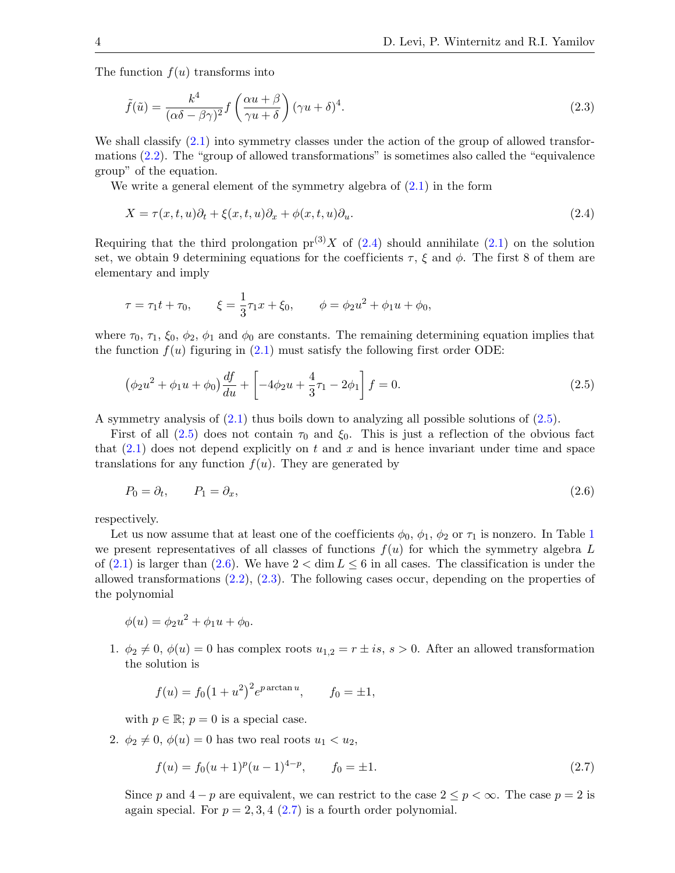The function  $f(u)$  transforms into

<span id="page-3-3"></span>
$$
\tilde{f}(\tilde{u}) = \frac{k^4}{(\alpha \delta - \beta \gamma)^2} f\left(\frac{\alpha u + \beta}{\gamma u + \delta}\right) (\gamma u + \delta)^4.
$$
\n(2.3)

We shall classify  $(2.1)$  into symmetry classes under the action of the group of allowed transformations [\(2.2\)](#page-2-2). The "group of allowed transformations" is sometimes also called the "equivalence group" of the equation.

We write a general element of the symmetry algebra of  $(2.1)$  in the form

<span id="page-3-0"></span>
$$
X = \tau(x, t, u)\partial_t + \xi(x, t, u)\partial_x + \phi(x, t, u)\partial_u.
$$
\n(2.4)

Requiring that the third prolongation  $pr^{(3)}X$  of [\(2.4\)](#page-3-0) should annihilate [\(2.1\)](#page-2-1) on the solution set, we obtain 9 determining equations for the coefficients  $\tau$ ,  $\xi$  and  $\phi$ . The first 8 of them are elementary and imply

$$
\tau = \tau_1 t + \tau_0
$$
,  $\xi = \frac{1}{3}\tau_1 x + \xi_0$ ,  $\phi = \phi_2 u^2 + \phi_1 u + \phi_0$ ,

where  $\tau_0$ ,  $\tau_1$ ,  $\xi_0$ ,  $\phi_2$ ,  $\phi_1$  and  $\phi_0$  are constants. The remaining determining equation implies that the function  $f(u)$  figuring in [\(2.1\)](#page-2-1) must satisfy the following first order ODE:

<span id="page-3-1"></span>
$$
\left(\phi_2 u^2 + \phi_1 u + \phi_0\right) \frac{df}{du} + \left[-4\phi_2 u + \frac{4}{3}\tau_1 - 2\phi_1\right] f = 0. \tag{2.5}
$$

A symmetry analysis of  $(2.1)$  thus boils down to analyzing all possible solutions of  $(2.5)$ .

First of all  $(2.5)$  does not contain  $\tau_0$  and  $\xi_0$ . This is just a reflection of the obvious fact that  $(2.1)$  does not depend explicitly on t and x and is hence invariant under time and space translations for any function  $f(u)$ . They are generated by

<span id="page-3-2"></span>
$$
P_0 = \partial_t, \qquad P_1 = \partial_x,\tag{2.6}
$$

respectively.

Let us now assume that at least one of the coefficients  $\phi_0$ ,  $\phi_1$  $\phi_1$ ,  $\phi_2$  or  $\tau_1$  is nonzero. In Table 1 we present representatives of all classes of functions  $f(u)$  for which the symmetry algebra L of [\(2.1\)](#page-2-1) is larger than [\(2.6\)](#page-3-2). We have  $2 < \dim L \leq 6$  in all cases. The classification is under the allowed transformations [\(2.2\)](#page-2-2), [\(2.3\)](#page-3-3). The following cases occur, depending on the properties of the polynomial

$$
\phi(u) = \phi_2 u^2 + \phi_1 u + \phi_0.
$$

1.  $\phi_2 \neq 0$ ,  $\phi(u) = 0$  has complex roots  $u_{1,2} = r \pm i s$ ,  $s > 0$ . After an allowed transformation the solution is

$$
f(u) = f_0(1 + u^2)^2 e^{p \arctan u}
$$
,  $f_0 = \pm 1$ ,

with  $p \in \mathbb{R}$ ;  $p = 0$  is a special case.

2.  $\phi_2 \neq 0, \, \phi(u) = 0$  has two real roots  $u_1 < u_2$ ,

<span id="page-3-4"></span>
$$
f(u) = f_0(u+1)^p(u-1)^{4-p}, \qquad f_0 = \pm 1. \tag{2.7}
$$

Since p and  $4-p$  are equivalent, we can restrict to the case  $2 \leq p < \infty$ . The case  $p = 2$  is again special. For  $p = 2, 3, 4$  [\(2.7\)](#page-3-4) is a fourth order polynomial.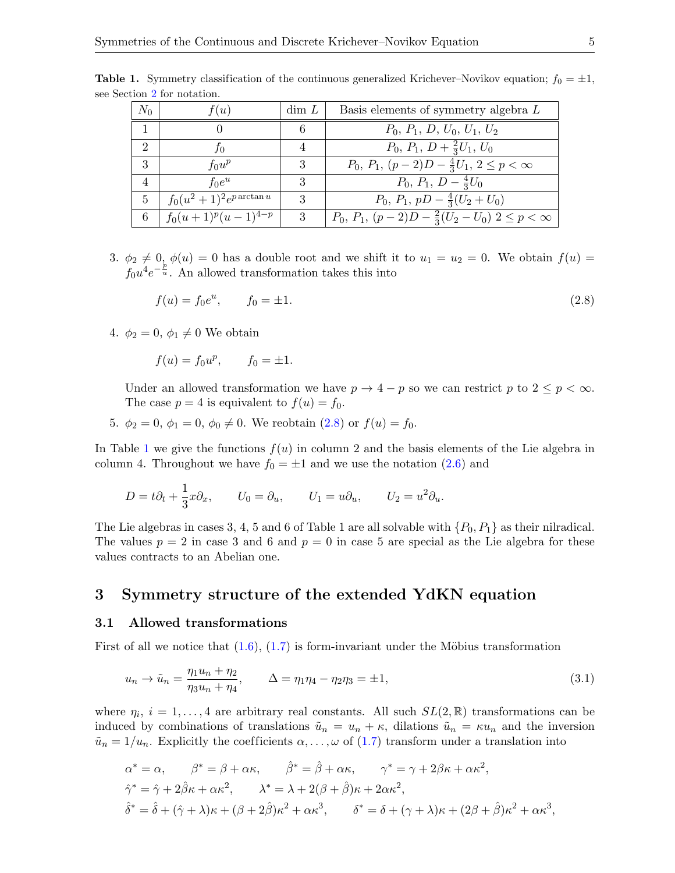<span id="page-4-1"></span>

| $N_0$ | f(u)                         | $\dim L$ | Basis elements of symmetry algebra L                                             |
|-------|------------------------------|----------|----------------------------------------------------------------------------------|
|       |                              | 6        | $P_0, P_1, D, U_0, U_1, U_2$                                                     |
| റ     | JО                           |          | $P_0, P_1, D + \frac{2}{3}U_1, U_0$                                              |
| 3     | $f_0u^p$                     | 3        | $P_0, P_1, (p-2)D - \frac{4}{3}U_1, 2 \leq p < \infty$                           |
| 4     | $f_0e^u$                     | 3        | $P_0, P_1, D - \frac{4}{3}U_0$                                                   |
| 5     | $f_0(u^2+1)^2e^{p\arctan u}$ | 3        | $P_0, P_1, pD - \frac{4}{3}(U_2 + U_0)$                                          |
| 6     | $\int f_0(u+1)^p(u-1)^{4-p}$ | 3        | $\overline{P_0}$ , $P_1$ , $(p-2)D - \frac{2}{3}(U_2 - U_0)$ $2 \leq p < \infty$ |

**Table 1.** Symmetry classification of the continuous generalized Krichever–Novikov equation;  $f_0 = \pm 1$ , see Section [2](#page-2-0) for notation.

3.  $\phi_2 \neq 0$ ,  $\phi(u) = 0$  has a double root and we shift it to  $u_1 = u_2 = 0$ . We obtain  $f(u) =$  $f_0u^4e^{-\frac{p}{u}}$ . An allowed transformation takes this into

<span id="page-4-2"></span>
$$
f(u) = f_0 e^u, \qquad f_0 = \pm 1. \tag{2.8}
$$

4.  $\phi_2 = 0, \phi_1 \neq 0$  We obtain

 $f(u) = f_0 u^p$ ,  $f_0 = \pm 1$ .

Under an allowed transformation we have  $p \to 4 - p$  so we can restrict p to  $2 \le p < \infty$ . The case  $p = 4$  is equivalent to  $f(u) = f_0$ .

5.  $\phi_2 = 0, \, \phi_1 = 0, \, \phi_0 \neq 0$ . We reobtain [\(2.8\)](#page-4-2) or  $f(u) = f_0$ .

In Table [1](#page-4-1) we give the functions  $f(u)$  in column 2 and the basis elements of the Lie algebra in column 4. Throughout we have  $f_0 = \pm 1$  and we use the notation  $(2.6)$  and

$$
D = t\partial_t + \frac{1}{3}x\partial_x, \qquad U_0 = \partial_u, \qquad U_1 = u\partial_u, \qquad U_2 = u^2\partial_u.
$$

The Lie algebras in cases 3, 4, 5 and 6 of Table 1 are all solvable with  $\{P_0, P_1\}$  as their nilradical. The values  $p = 2$  in case 3 and 6 and  $p = 0$  in case 5 are special as the Lie algebra for these values contracts to an Abelian one.

## <span id="page-4-0"></span>3 Symmetry structure of the extended YdKN equation

#### 3.1 Allowed transformations

First of all we notice that  $(1.6)$ ,  $(1.7)$  is form-invariant under the Möbius transformation

<span id="page-4-3"></span>
$$
u_n \to \tilde{u}_n = \frac{\eta_1 u_n + \eta_2}{\eta_3 u_n + \eta_4}, \qquad \Delta = \eta_1 \eta_4 - \eta_2 \eta_3 = \pm 1,
$$
\n(3.1)

where  $\eta_i$ ,  $i = 1, \ldots, 4$  are arbitrary real constants. All such  $SL(2, \mathbb{R})$  transformations can be induced by combinations of translations  $\tilde{u}_n = u_n + \kappa$ , dilations  $\tilde{u}_n = \kappa u_n$  and the inversion  $\tilde{u}_n = 1/u_n$ . Explicitly the coefficients  $\alpha, \ldots, \omega$  of [\(1.7\)](#page-1-3) transform under a translation into

$$
\alpha^* = \alpha, \qquad \beta^* = \beta + \alpha \kappa, \qquad \hat{\beta}^* = \hat{\beta} + \alpha \kappa, \qquad \gamma^* = \gamma + 2\beta \kappa + \alpha \kappa^2,
$$
  

$$
\hat{\gamma}^* = \hat{\gamma} + 2\hat{\beta}\kappa + \alpha \kappa^2, \qquad \lambda^* = \lambda + 2(\beta + \hat{\beta})\kappa + 2\alpha \kappa^2,
$$
  

$$
\hat{\delta}^* = \hat{\delta} + (\hat{\gamma} + \lambda)\kappa + (\beta + 2\hat{\beta})\kappa^2 + \alpha \kappa^3, \qquad \delta^* = \delta + (\gamma + \lambda)\kappa + (2\beta + \hat{\beta})\kappa^2 + \alpha \kappa^3,
$$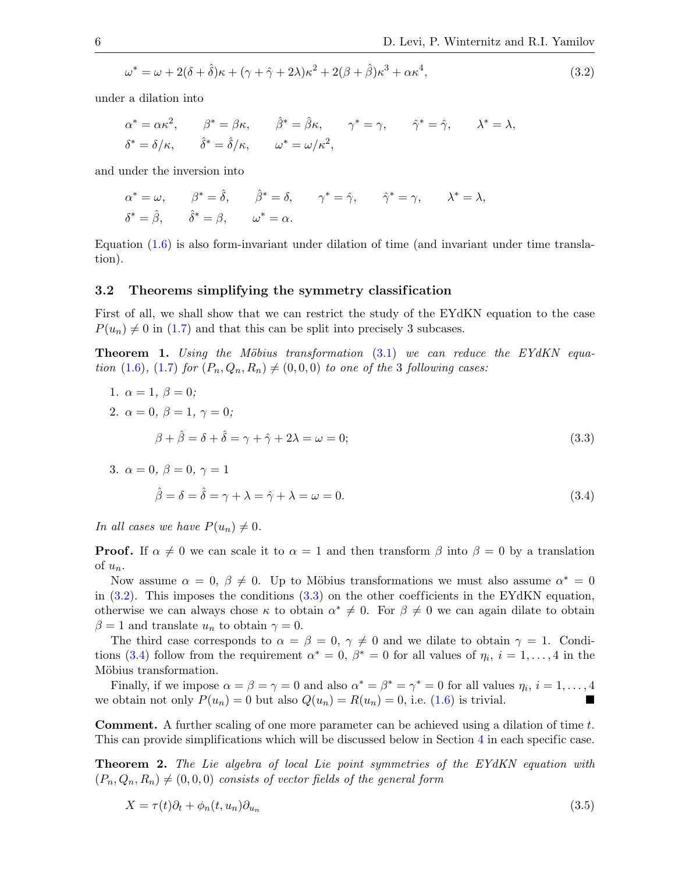<span id="page-5-0"></span>
$$
\omega^* = \omega + 2(\delta + \hat{\delta})\kappa + (\gamma + \hat{\gamma} + 2\lambda)\kappa^2 + 2(\beta + \hat{\beta})\kappa^3 + \alpha\kappa^4,\tag{3.2}
$$

under a dilation into

$$
\alpha^* = \alpha \kappa^2, \qquad \beta^* = \beta \kappa, \qquad \hat{\beta}^* = \hat{\beta} \kappa, \qquad \gamma^* = \gamma, \qquad \hat{\gamma}^* = \hat{\gamma}, \qquad \lambda^* = \lambda,
$$
  

$$
\delta^* = \delta/\kappa, \qquad \hat{\delta}^* = \hat{\delta}/\kappa, \qquad \omega^* = \omega/\kappa^2,
$$

and under the inversion into

$$
\alpha^* = \omega, \qquad \beta^* = \hat{\delta}, \qquad \hat{\beta}^* = \delta, \qquad \gamma^* = \hat{\gamma}, \qquad \hat{\gamma}^* = \gamma, \qquad \lambda^* = \lambda,
$$
  

$$
\delta^* = \hat{\beta}, \qquad \hat{\delta}^* = \beta, \qquad \omega^* = \alpha.
$$

Equation [\(1.6\)](#page-1-2) is also form-invariant under dilation of time (and invariant under time translation).

#### 3.2 Theorems simplifying the symmetry classification

First of all, we shall show that we can restrict the study of the EYdKN equation to the case  $P(u_n) \neq 0$  in [\(1.7\)](#page-1-3) and that this can be split into precisely 3 subcases.

<span id="page-5-4"></span>**Theorem 1.** Using the Möbius transformation  $(3.1)$  we can reduce the EYdKN equa-tion [\(1.6\)](#page-1-2), [\(1.7\)](#page-1-3) for  $(P_n, Q_n, R_n) \neq (0, 0, 0)$  to one of the 3 following cases:

1. 
$$
\alpha = 1, \beta = 0;
$$
  
\n2.  $\alpha = 0, \beta = 1, \gamma = 0;$   
\n $\beta + \hat{\beta} = \delta + \hat{\delta} = \gamma + \hat{\gamma} + 2\lambda = \omega = 0;$   
\n3.  $\alpha = 0, \beta = 0, \gamma = 1$  (3.3)

<span id="page-5-2"></span><span id="page-5-1"></span>
$$
\hat{\beta} = \delta = \hat{\delta} = \gamma + \lambda = \hat{\gamma} + \lambda = \omega = 0.
$$
\n(3.4)

In all cases we have  $P(u_n) \neq 0$ .

**Proof.** If  $\alpha \neq 0$  we can scale it to  $\alpha = 1$  and then transform  $\beta$  into  $\beta = 0$  by a translation of  $u_n$ .

Now assume  $\alpha = 0, \beta \neq 0$ . Up to Möbius transformations we must also assume  $\alpha^* = 0$ in  $(3.2)$ . This imposes the conditions  $(3.3)$  on the other coefficients in the EYdKN equation, otherwise we can always chose  $\kappa$  to obtain  $\alpha^* \neq 0$ . For  $\beta \neq 0$  we can again dilate to obtain  $\beta = 1$  and translate  $u_n$  to obtain  $\gamma = 0$ .

The third case corresponds to  $\alpha = \beta = 0, \gamma \neq 0$  and we dilate to obtain  $\gamma = 1$ . Condi-tions [\(3.4\)](#page-5-2) follow from the requirement  $\alpha^* = 0$ ,  $\beta^* = 0$  for all values of  $\eta_i$ ,  $i = 1, \ldots, 4$  in the Möbius transformation.

Finally, if we impose  $\alpha = \beta = \gamma = 0$  and also  $\alpha^* = \beta^* = \gamma^* = 0$  for all values  $\eta_i$ ,  $i = 1, \ldots, 4$ we obtain not only  $P(u_n) = 0$  but also  $Q(u_n) = R(u_n) = 0$ , i.e. [\(1.6\)](#page-1-2) is trivial.

Comment. A further scaling of one more parameter can be achieved using a dilation of time t. This can provide simplifications which will be discussed below in Section [4](#page-7-0) in each specific case.

<span id="page-5-5"></span>Theorem 2. The Lie algebra of local Lie point symmetries of the EYdKN equation with  $(P_n, Q_n, R_n) \neq (0, 0, 0)$  consists of vector fields of the general form

<span id="page-5-3"></span>
$$
X = \tau(t)\partial_t + \phi_n(t, u_n)\partial_{u_n} \tag{3.5}
$$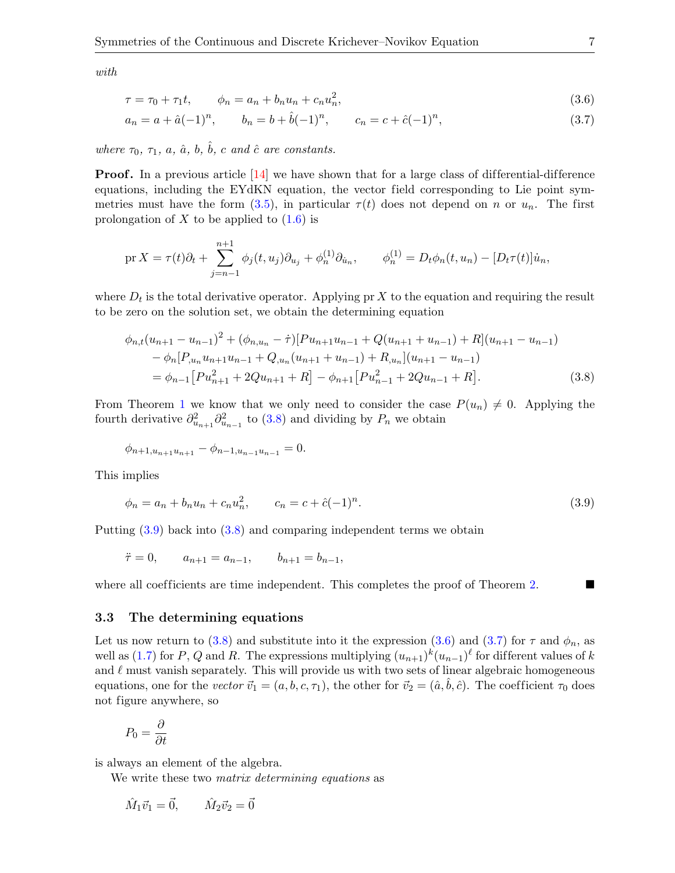with

<span id="page-6-3"></span><span id="page-6-2"></span>
$$
\tau = \tau_0 + \tau_1 t, \qquad \phi_n = a_n + b_n u_n + c_n u_n^2,
$$
\n(3.6)

$$
a_n = a + \hat{a}(-1)^n, \qquad b_n = b + \hat{b}(-1)^n, \qquad c_n = c + \hat{c}(-1)^n,\tag{3.7}
$$

where  $\tau_0$ ,  $\tau_1$ , a,  $\hat{a}$ , b,  $\hat{b}$ , c and  $\hat{c}$  are constants.

**Proof.** In a previous article  $\begin{bmatrix} 14 \end{bmatrix}$  we have shown that for a large class of differential-difference equations, including the EYdKN equation, the vector field corresponding to Lie point sym-metries must have the form [\(3.5\)](#page-5-3), in particular  $\tau(t)$  does not depend on n or  $u_n$ . The first prolongation of  $X$  to be applied to  $(1.6)$  is

$$
\text{pr}\,X = \tau(t)\partial_t + \sum_{j=n-1}^{n+1} \phi_j(t, u_j)\partial_{u_j} + \phi_n^{(1)}\partial_{u_n}, \qquad \phi_n^{(1)} = D_t\phi_n(t, u_n) - [D_t\tau(t)]\dot{u}_n,
$$

where  $D_t$  is the total derivative operator. Applying pr X to the equation and requiring the result to be zero on the solution set, we obtain the determining equation

<span id="page-6-0"></span>
$$
\phi_{n,t}(u_{n+1} - u_{n-1})^2 + (\phi_{n,u_n} - \dot{\tau})[Pu_{n+1}u_{n-1} + Q(u_{n+1} + u_{n-1}) + R](u_{n+1} - u_{n-1})
$$
  
\n
$$
- \phi_n[P_{,u_n}u_{n+1}u_{n-1} + Q_{,u_n}(u_{n+1} + u_{n-1}) + R_{,u_n}](u_{n+1} - u_{n-1})
$$
  
\n
$$
= \phi_{n-1}[Pu_{n+1}^2 + 2Qu_{n+1} + R] - \phi_{n+1}[Pu_{n-1}^2 + 2Qu_{n-1} + R].
$$
\n(3.8)

From Theorem [1](#page-5-4) we know that we only need to consider the case  $P(u_n) \neq 0$ . Applying the fourth derivative  $\partial_{u_{n+1}}^2 \partial_{u_{n-1}}^2$  to [\(3.8\)](#page-6-0) and dividing by  $P_n$  we obtain

$$
\phi_{n+1,u_{n+1}u_{n+1}} - \phi_{n-1,u_{n-1}u_{n-1}} = 0.
$$

This implies

<span id="page-6-1"></span>
$$
\phi_n = a_n + b_n u_n + c_n u_n^2, \qquad c_n = c + \hat{c}(-1)^n. \tag{3.9}
$$

Putting [\(3.9\)](#page-6-1) back into [\(3.8\)](#page-6-0) and comparing independent terms we obtain

$$
\ddot{\tau} = 0, \qquad a_{n+1} = a_{n-1}, \qquad b_{n+1} = b_{n-1},
$$

where all coefficients are time independent. This completes the proof of Theorem [2.](#page-5-5)

#### 3.3 The determining equations

Let us now return to [\(3.8\)](#page-6-0) and substitute into it the expression [\(3.6\)](#page-6-2) and [\(3.7\)](#page-6-3) for  $\tau$  and  $\phi_n$ , as well as [\(1.7\)](#page-1-3) for P, Q and R. The expressions multiplying  $(u_{n+1})^k (u_{n-1})^{\ell}$  for different values of k and  $\ell$  must vanish separately. This will provide us with two sets of linear algebraic homogeneous equations, one for the vector  $\vec{v}_1 = (a, b, c, \tau_1)$ , the other for  $\vec{v}_2 = (\hat{a}, \hat{b}, \hat{c})$ . The coefficient  $\tau_0$  does not figure anywhere, so

$$
P_0 = \frac{\partial}{\partial t}
$$

is always an element of the algebra.

We write these two *matrix determining equations* as

$$
\hat{M}_1 \vec{v}_1 = \vec{0}, \qquad \hat{M}_2 \vec{v}_2 = \vec{0}
$$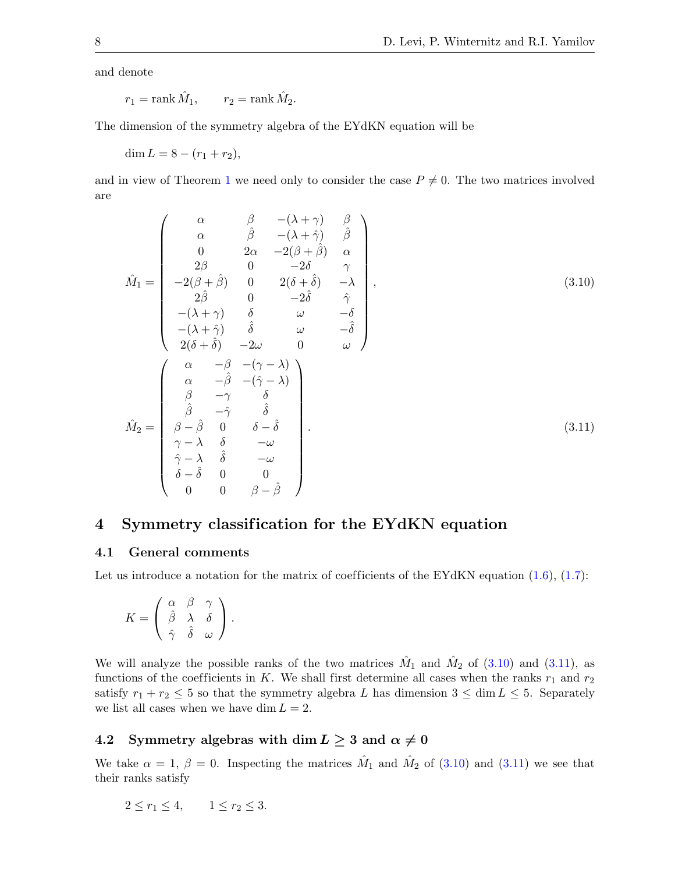and denote

$$
r_1 = \text{rank } \hat{M}_1, \qquad r_2 = \text{rank } \hat{M}_2.
$$

The dimension of the symmetry algebra of the EYdKN equation will be

dim  $L = 8 - (r_1 + r_2),$ 

and in view of Theorem [1](#page-5-4) we need only to consider the case  $P \neq 0$ . The two matrices involved are

<span id="page-7-1"></span>
$$
\hat{M}_1 = \begin{pmatrix}\n\alpha & \beta & -(\lambda + \gamma) & \beta \\
\alpha & \hat{\beta} & -(\lambda + \hat{\gamma}) & \hat{\beta} \\
0 & 2\alpha & -2(\beta + \hat{\beta}) & \alpha \\
2\beta & 0 & -2\delta & \gamma \\
-2(\beta + \hat{\beta}) & 0 & 2(\delta + \hat{\delta}) & -\lambda \\
2\hat{\beta} & 0 & -2\hat{\delta} & \hat{\gamma} \\
-(\lambda + \gamma) & \delta & \omega & -\delta \\
-(\lambda + \hat{\gamma}) & \hat{\delta} & \omega & -\hat{\delta} \\
2(\delta + \hat{\delta}) & -2\omega & 0 & \omega\n\end{pmatrix},
$$
\n(3.10)\n
$$
\hat{M}_2 = \begin{pmatrix}\n\alpha & -\beta & -(\gamma - \lambda) \\
\alpha & -\hat{\beta} & -(\hat{\gamma} - \lambda) \\
\hat{\beta} & -\hat{\gamma} & \hat{\delta} \\
\hat{\beta} & -\hat{\gamma} & \hat{\delta} \\
\hat{\beta} & -\hat{\gamma} & \hat{\delta} \\
\beta - \hat{\beta} & 0 & \delta - \hat{\delta} \\
\gamma - \lambda & \delta & -\omega \\
\delta - \hat{\delta} & 0 & 0 \\
0 & 0 & \beta - \hat{\beta}\n\end{pmatrix}.
$$
\n(3.11)

## <span id="page-7-0"></span>4 Symmetry classification for the EYdKN equation

#### 4.1 General comments

Let us introduce a notation for the matrix of coefficients of the EYdKN equation  $(1.6)$ ,  $(1.7)$ :

<span id="page-7-2"></span>
$$
K = \begin{pmatrix} \alpha & \beta & \gamma \\ \hat{\beta} & \lambda & \delta \\ \hat{\gamma} & \hat{\delta} & \omega \end{pmatrix}.
$$

We will analyze the possible ranks of the two matrices  $\hat{M}_1$  and  $\hat{M}_2$  of [\(3.10\)](#page-7-1) and [\(3.11\)](#page-7-2), as functions of the coefficients in K. We shall first determine all cases when the ranks  $r_1$  and  $r_2$ satisfy  $r_1 + r_2 \leq 5$  so that the symmetry algebra L has dimension  $3 \leq \dim L \leq 5$ . Separately we list all cases when we have dim  $L = 2$ .

## 4.2 Symmetry algebras with dim  $L \geq 3$  and  $\alpha \neq 0$

We take  $\alpha = 1, \beta = 0$ . Inspecting the matrices  $\hat{M}_1$  and  $\hat{M}_2$  of [\(3.10\)](#page-7-1) and [\(3.11\)](#page-7-2) we see that their ranks satisfy

$$
2 \le r_1 \le 4, \qquad 1 \le r_2 \le 3.
$$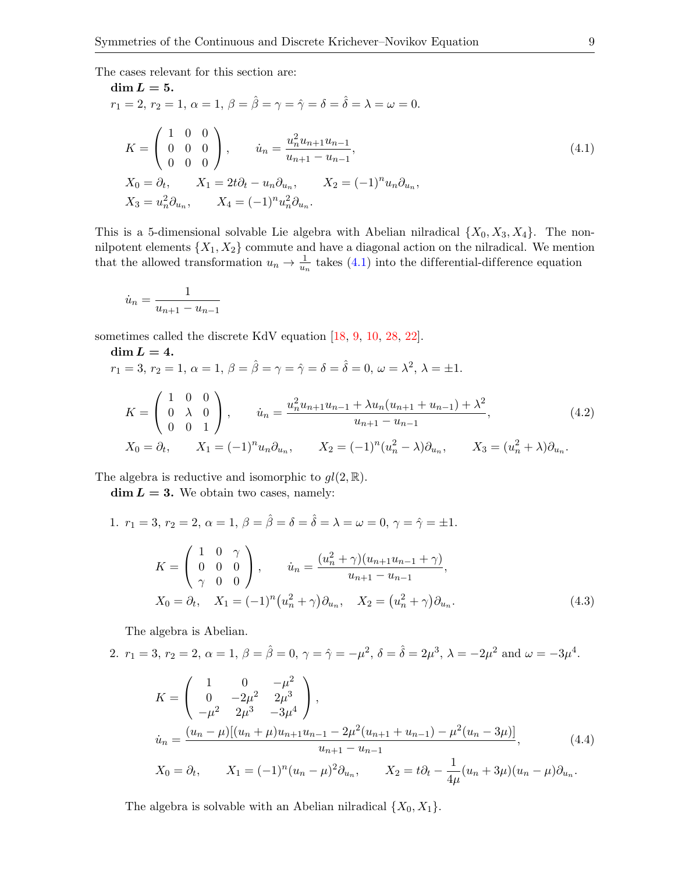The cases relevant for this section are:

<span id="page-8-0"></span>
$$
\begin{aligned}\n\dim L &= 5. \\
r_1 &= 2, r_2 = 1, \ \alpha = 1, \ \beta = \hat{\beta} = \gamma = \hat{\gamma} = \hat{\delta} = \hat{\delta} = \lambda = \omega = 0. \\
K &= \begin{pmatrix} 1 & 0 & 0 \\ 0 & 0 & 0 \\ 0 & 0 & 0 \end{pmatrix}, \qquad \dot{u}_n = \frac{u_n^2 u_{n+1} u_{n-1}}{u_{n+1} - u_{n-1}}, \\
X_0 &= \partial_t, \qquad X_1 = 2t \partial_t - u_n \partial_{u_n}, \qquad X_2 = (-1)^n u_n \partial_{u_n}, \\
X_3 &= u_n^2 \partial_{u_n}, \qquad X_4 = (-1)^n u_n^2 \partial_{u_n}.\n\end{aligned} \tag{4.1}
$$

This is a 5-dimensional solvable Lie algebra with Abelian nilradical  $\{X_0, X_3, X_4\}$ . The nonnilpotent elements  $\{X_1, X_2\}$  commute and have a diagonal action on the nilradical. We mention that the allowed transformation  $u_n \to \frac{1}{u_n}$  takes [\(4.1\)](#page-8-0) into the differential-difference equation

$$
\dot{u}_n = \frac{1}{u_{n+1} - u_{n-1}}
$$

sometimes called the discrete KdV equation [\[18,](#page-14-19) [9,](#page-14-20) [10,](#page-14-10) [28,](#page-15-4) [22\]](#page-14-21).

$$
\dim L = 4.
$$
  

$$
r_1 = 3, r_2 = 1, \alpha = 1, \beta = \hat{\beta} = \gamma = \hat{\gamma} = \delta = \hat{\delta} = 0, \omega = \lambda^2, \lambda = \pm 1.
$$

<span id="page-8-1"></span>
$$
K = \begin{pmatrix} 1 & 0 & 0 \\ 0 & \lambda & 0 \\ 0 & 0 & 1 \end{pmatrix}, \qquad \dot{u}_n = \frac{u_n^2 u_{n+1} u_{n-1} + \lambda u_n (u_{n+1} + u_{n-1}) + \lambda^2}{u_{n+1} - u_{n-1}},
$$
(4.2)  

$$
X_0 = \partial_t, \qquad X_1 = (-1)^n u_n \partial_{u_n}, \qquad X_2 = (-1)^n (u_n^2 - \lambda) \partial_{u_n}, \qquad X_3 = (u_n^2 + \lambda) \partial_{u_n}.
$$

The algebra is reductive and isomorphic to  $gl(2,\mathbb{R})$ .

 $\dim L = 3$ . We obtain two cases, namely:

1.  $r_1 = 3, r_2 = 2, \alpha = 1, \beta = \hat{\beta} = \delta = \hat{\delta} = \lambda = \omega = 0, \gamma = \hat{\gamma} = \pm 1.$  $K =$  $\sqrt{ }$  $\mathcal{L}$ 1 0  $\gamma$ 0 0 0  $\gamma$  0 0  $\setminus$  , <sup>u</sup>˙ <sup>n</sup> <sup>=</sup> (u 2 <sup>n</sup> + γ)(un+1un−<sup>1</sup> + γ)  $\frac{u_{n+1}-u_{n-1}+u_{n-1}}{u_{n+1}-u_{n-1}},$  $X_0 = \partial_t, \quad X_1 = (-1)^n (u_n^2 + \gamma) \partial_{u_n}, \quad X_2 = (u_n^2 + \gamma) \partial_{u_n}$  $(4.3)$ 

The algebra is Abelian.

2. 
$$
r_1 = 3
$$
,  $r_2 = 2$ ,  $\alpha = 1$ ,  $\beta = \hat{\beta} = 0$ ,  $\gamma = \hat{\gamma} = -\mu^2$ ,  $\delta = \hat{\delta} = 2\mu^3$ ,  $\lambda = -2\mu^2$  and  $\omega = -3\mu^4$ .  
 $\begin{pmatrix} 1 & 0 & -\mu^2 \end{pmatrix}$ 

<span id="page-8-3"></span><span id="page-8-2"></span>
$$
K = \begin{pmatrix} 0 & -2\mu^2 & 2\mu^3 \\ -\mu^2 & 2\mu^3 & -3\mu^4 \end{pmatrix},
$$
  
\n
$$
\dot{u}_n = \frac{(u_n - \mu)[(u_n + \mu)u_{n+1}u_{n-1} - 2\mu^2(u_{n+1} + u_{n-1}) - \mu^2(u_n - 3\mu)]}{u_{n+1} - u_{n-1}},
$$
  
\n
$$
X_0 = \partial_t, \qquad X_1 = (-1)^n (u_n - \mu)^2 \partial_{u_n}, \qquad X_2 = t\partial_t - \frac{1}{4\mu}(u_n + 3\mu)(u_n - \mu)\partial_{u_n}.
$$
\n(4.4)

The algebra is solvable with an Abelian nilradical  $\{X_0, X_1\}$ .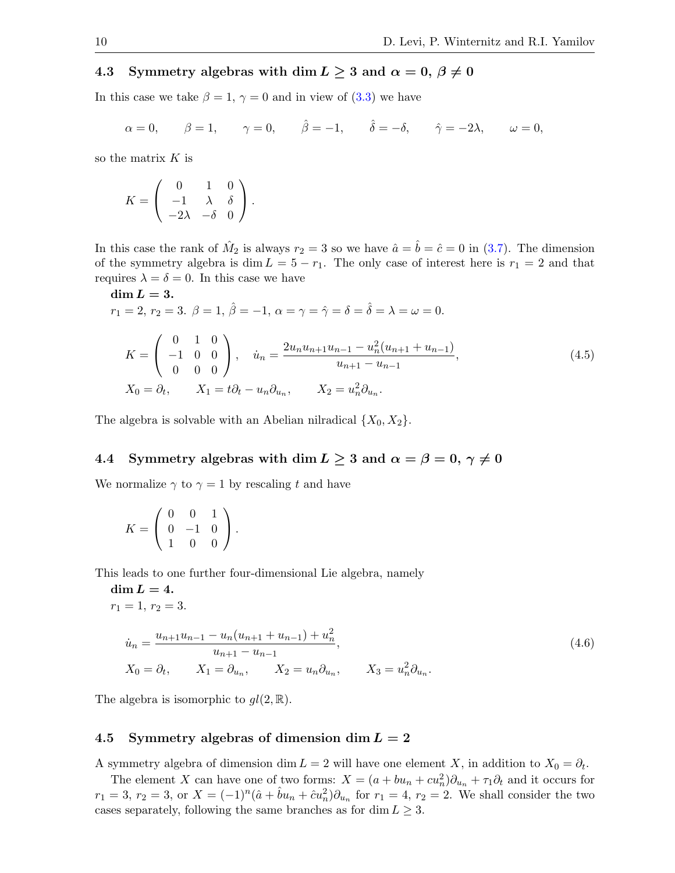### 4.3 Symmetry algebras with dim  $L \geq 3$  and  $\alpha = 0, \beta \neq 0$

In this case we take  $\beta = 1, \gamma = 0$  and in view of [\(3.3\)](#page-5-1) we have

$$
\alpha = 0
$$
,  $\beta = 1$ ,  $\gamma = 0$ ,  $\hat{\beta} = -1$ ,  $\hat{\delta} = -\delta$ ,  $\hat{\gamma} = -2\lambda$ ,  $\omega = 0$ ,

so the matrix  $K$  is

$$
K = \left( \begin{array}{ccc} 0 & 1 & 0 \\ -1 & \lambda & \delta \\ -2\lambda & -\delta & 0 \end{array} \right).
$$

In this case the rank of  $\hat{M}_2$  is always  $r_2 = 3$  so we have  $\hat{a} = \hat{b} = \hat{c} = 0$  in [\(3.7\)](#page-6-3). The dimension of the symmetry algebra is dim  $L = 5 - r_1$ . The only case of interest here is  $r_1 = 2$  and that requires  $\lambda = \delta = 0$ . In this case we have

<span id="page-9-1"></span>
$$
\begin{aligned}\n\dim L &= 3. \\
r_1 &= 2, r_2 = 3. \quad \beta = 1, \quad \hat{\beta} = -1, \quad \alpha = \gamma = \hat{\gamma} = \delta = \hat{\delta} = \lambda = \omega = 0. \\
K &= \begin{pmatrix} 0 & 1 & 0 \\ -1 & 0 & 0 \\ 0 & 0 & 0 \end{pmatrix}, \quad \dot{u}_n = \frac{2u_n u_{n+1} u_{n-1} - u_n^2 (u_{n+1} + u_{n-1})}{u_{n+1} - u_{n-1}}, \\
X_0 &= \partial_t, \qquad X_1 = t\partial_t - u_n \partial_{u_n}, \qquad X_2 = u_n^2 \partial_{u_n}.\n\end{aligned} \tag{4.5}
$$

The algebra is solvable with an Abelian nilradical  $\{X_0, X_2\}$ .

## 4.4 Symmetry algebras with dim  $L \geq 3$  and  $\alpha = \beta = 0, \gamma \neq 0$

We normalize  $\gamma$  to  $\gamma = 1$  by rescaling t and have

$$
K = \left(\begin{array}{rrr} 0 & 0 & 1 \\ 0 & -1 & 0 \\ 1 & 0 & 0 \end{array}\right).
$$

This leads to one further four-dimensional Lie algebra, namely

dim  $L = 4$ .  $r_1 = 1, r_2 = 3.$ 

<span id="page-9-0"></span>
$$
\dot{u}_n = \frac{u_{n+1}u_{n-1} - u_n(u_{n+1} + u_{n-1}) + u_n^2}{u_{n+1} - u_{n-1}},
$$
\n
$$
X_0 = \partial_t, \qquad X_1 = \partial_{u_n}, \qquad X_2 = u_n \partial_{u_n}, \qquad X_3 = u_n^2 \partial_{u_n}.
$$
\n(4.6)

The algebra is isomorphic to  $gl(2,\mathbb{R})$ .

#### 4.5 Symmetry algebras of dimension dim  $L = 2$

A symmetry algebra of dimension dim  $L = 2$  will have one element X, in addition to  $X_0 = \partial_t$ .

The element X can have one of two forms:  $X = (a + bu_n + cu_n^2)\partial_{u_n} + \tau_1\partial_t$  and it occurs for  $r_1 = 3, r_2 = 3, \text{ or } X = (-1)^n (\hat{a} + \hat{b}u_n + \hat{c}u_n^2) \partial_{u_n}$  for  $r_1 = 4, r_2 = 2$ . We shall consider the two cases separately, following the same branches as for dim  $L \geq 3$ .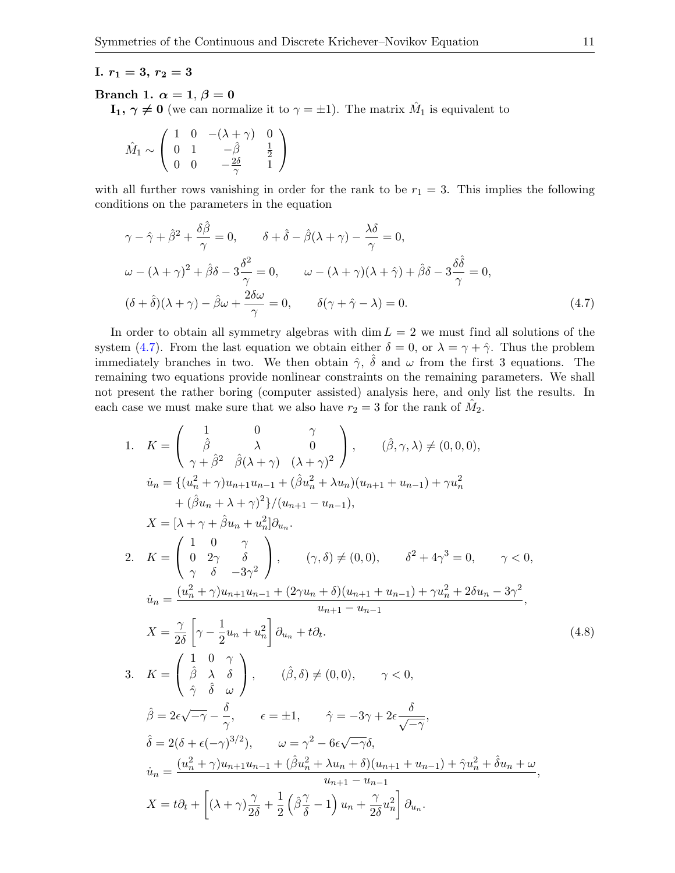#### I.  $r_1 = 3, r_2 = 3$

#### Branch 1.  $\alpha = 1, \beta = 0$

 $\mathbf{I}_1, \gamma \neq \mathbf{0}$  (we can normalize it to  $\gamma = \pm 1$ ). The matrix  $\hat{M}_1$  is equivalent to

$$
\hat{M}_1 \sim \left(\begin{array}{ccc} 1 & 0 & -(\lambda+\gamma) & 0 \\ 0 & 1 & -\hat{\beta} & \frac{1}{2} \\ 0 & 0 & -\frac{2\delta}{\gamma} & 1 \end{array}\right)
$$

with all further rows vanishing in order for the rank to be  $r_1 = 3$ . This implies the following conditions on the parameters in the equation

<span id="page-10-0"></span>
$$
\gamma - \hat{\gamma} + \hat{\beta}^2 + \frac{\delta \hat{\beta}}{\gamma} = 0, \qquad \delta + \hat{\delta} - \hat{\beta}(\lambda + \gamma) - \frac{\lambda \delta}{\gamma} = 0,
$$
  

$$
\omega - (\lambda + \gamma)^2 + \hat{\beta}\delta - 3\frac{\delta^2}{\gamma} = 0, \qquad \omega - (\lambda + \gamma)(\lambda + \hat{\gamma}) + \hat{\beta}\delta - 3\frac{\delta \hat{\delta}}{\gamma} = 0,
$$
  

$$
(\delta + \hat{\delta})(\lambda + \gamma) - \hat{\beta}\omega + \frac{2\delta \omega}{\gamma} = 0, \qquad \delta(\gamma + \hat{\gamma} - \lambda) = 0.
$$
 (4.7)

In order to obtain all symmetry algebras with dim  $L = 2$  we must find all solutions of the system [\(4.7\)](#page-10-0). From the last equation we obtain either  $\delta = 0$ , or  $\lambda = \gamma + \hat{\gamma}$ . Thus the problem immediately branches in two. We then obtain  $\hat{\gamma}$ ,  $\hat{\delta}$  and  $\omega$  from the first 3 equations. The remaining two equations provide nonlinear constraints on the remaining parameters. We shall not present the rather boring (computer assisted) analysis here, and only list the results. In each case we must make sure that we also have  $r_2 = 3$  for the rank of  $\hat{M}_2$ .

<span id="page-10-1"></span>1. 
$$
K = \begin{pmatrix} 1 & 0 & \gamma \\ \hat{\beta} & \lambda & 0 \\ \gamma + \hat{\beta}^2 & \hat{\beta}(\lambda + \gamma) & (\lambda + \gamma)^2 \end{pmatrix}, \quad (\hat{\beta}, \gamma, \lambda) \neq (0, 0, 0),
$$
  
\n $\dot{u}_n = \{ (u_n^2 + \gamma)u_{n+1}u_{n-1} + (\hat{\beta}u_n^2 + \lambda u_n)(u_{n+1} + u_{n-1}) + \gamma u_n^2 + (\hat{\beta}u_n + \lambda + \gamma)^2 \} / (u_{n+1} - u_{n-1}),$   
\n $X = [\lambda + \gamma + \hat{\beta}u_n + u_n^2] \partial_{u_n}.$   
\n2.  $K = \begin{pmatrix} 1 & 0 & \gamma \\ 0 & 2\gamma & \delta \\ \gamma & \delta & -3\gamma^2 \end{pmatrix}, \quad (\gamma, \delta) \neq (0, 0), \quad \delta^2 + 4\gamma^3 = 0, \quad \gamma < 0,$   
\n $\dot{u}_n = \frac{(u_n^2 + \gamma)u_{n+1}u_{n-1} + (2\gamma u_n + \delta)(u_{n+1} + u_{n-1}) + \gamma u_n^2 + 2\delta u_n - 3\gamma^2}{u_{n+1} - u_{n-1}},$   
\n $X = \frac{\gamma}{2\delta} \begin{bmatrix} \gamma - \frac{1}{2}u_n + u_n^2 \\ \gamma - \frac{1}{2}u_n + u_n^2 \end{bmatrix} \partial_{u_n} + t \partial_t.$   
\n3.  $K = \begin{pmatrix} 1 & 0 & \gamma \\ \hat{\beta} & \lambda & \delta \\ \hat{\gamma} & \hat{\delta} & \omega \end{pmatrix}, \quad (\hat{\beta}, \delta) \neq (0, 0), \quad \gamma < 0,$   
\n $\hat{\beta} = 2\epsilon\sqrt{-\gamma} - \frac{\delta}{\gamma}, \quad \epsilon = \pm 1, \quad \hat{\gamma} = -3\gamma + 2\epsilon \frac{\delta}{\sqrt{-\gamma}},$   
\n $\hat{\delta} = 2(\delta + \epsilon(-\gamma)^{3/2}), \quad \omega = \gamma^2 - 6\epsilon\sqrt{-\gamma}\delta,$   
\n $\dot{u}_n = \frac{(u_n^2 + \gamma)u_{n+1}u_{n-1} + (\hat{\beta}u_n^2 + \lambda$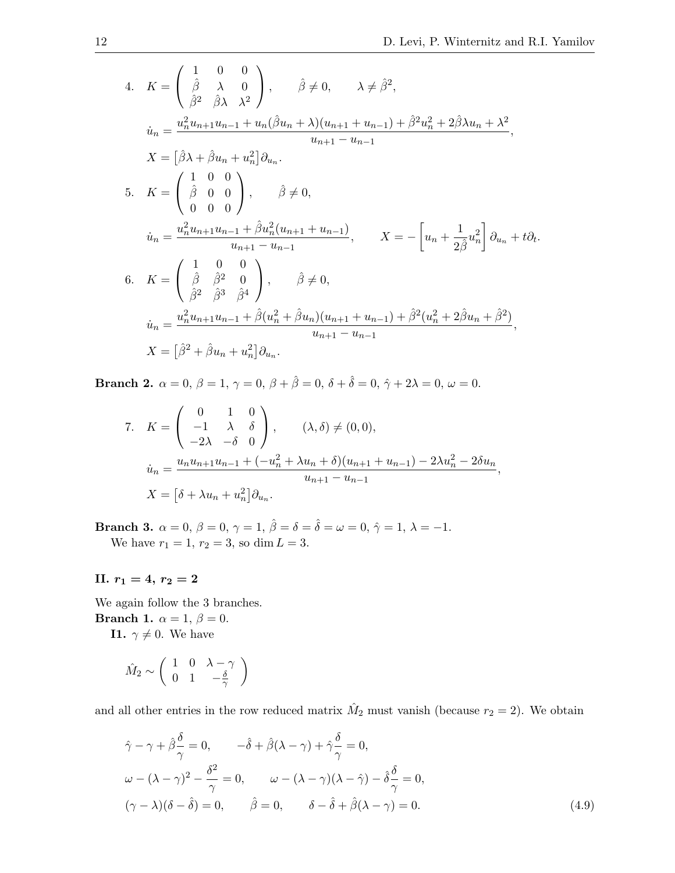4. 
$$
K = \begin{pmatrix} 1 & 0 & 0 \\ \hat{\beta} & \lambda & 0 \\ \hat{\beta}^2 & \hat{\beta}\lambda & \lambda^2 \end{pmatrix}, \qquad \hat{\beta} \neq 0, \qquad \lambda \neq \hat{\beta}^2,
$$
  
\n
$$
\dot{u}_n = \frac{u_n^2 u_{n+1} u_{n-1} + u_n(\hat{\beta}u_n + \lambda)(u_{n+1} + u_{n-1}) + \hat{\beta}^2 u_n^2 + 2\hat{\beta}\lambda u_n + \lambda^2}{u_{n+1} - u_{n-1}},
$$
  
\n
$$
X = \begin{pmatrix} \hat{\beta}\lambda + \hat{\beta}u_n + u_n^2 \end{pmatrix} \partial_{u_n}.
$$
  
\n5. 
$$
K = \begin{pmatrix} 1 & 0 & 0 \\ \hat{\beta} & 0 & 0 \\ 0 & 0 & 0 \end{pmatrix}, \qquad \hat{\beta} \neq 0,
$$
  
\n
$$
\dot{u}_n = \frac{u_n^2 u_{n+1} u_{n-1} + \hat{\beta} u_n^2 (u_{n+1} + u_{n-1})}{u_{n+1} - u_{n-1}}, \qquad X = -\begin{bmatrix} u_n + \frac{1}{2\hat{\beta}} u_n^2 \end{bmatrix} \partial_{u_n} + t \partial_t.
$$
  
\n6. 
$$
K = \begin{pmatrix} 1 & 0 & 0 \\ \hat{\beta} & \hat{\beta}^2 & 0 \\ \hat{\beta}^2 & \hat{\beta}^3 & \hat{\beta}^4 \end{pmatrix}, \qquad \hat{\beta} \neq 0,
$$
  
\n
$$
\dot{u}_n = \frac{u_n^2 u_{n+1} u_{n-1} + \hat{\beta} (u_n^2 + \hat{\beta}u_n)(u_{n+1} + u_{n-1}) + \hat{\beta}^2 (u_n^2 + 2\hat{\beta}u_n + \hat{\beta}^2)}{u_{n+1} - u_{n-1}},
$$
  
\n
$$
X = \begin{bmatrix} \hat{\beta}^2 + \hat{\beta}u_n + u_n^2 \end{bmatrix} \partial_{u_n}.
$$

Branch 2.  $\alpha = 0$ ,  $\beta = 1$ ,  $\gamma = 0$ ,  $\beta + \hat{\beta} = 0$ ,  $\delta + \hat{\delta} = 0$ ,  $\hat{\gamma} + 2\lambda = 0$ ,  $\omega = 0$ .

7. 
$$
K = \begin{pmatrix} 0 & 1 & 0 \\ -1 & \lambda & \delta \\ -2\lambda & -\delta & 0 \end{pmatrix}, \qquad (\lambda, \delta) \neq (0, 0),
$$

$$
\dot{u}_n = \frac{u_n u_{n+1} u_{n-1} + (-u_n^2 + \lambda u_n + \delta)(u_{n+1} + u_{n-1}) - 2\lambda u_n^2 - 2\delta u_n}{u_{n+1} - u_{n-1}},
$$

$$
X = \left[\delta + \lambda u_n + u_n^2\right] \partial_{u_n}.
$$

Branch 3.  $\alpha = 0$ ,  $\beta = 0$ ,  $\gamma = 1$ ,  $\hat{\beta} = \delta = \hat{\delta} = \omega = 0$ ,  $\hat{\gamma} = 1$ ,  $\lambda = -1$ . We have  $r_1 = 1, r_2 = 3$ , so dim  $L = 3$ .

II.  $r_1 = 4, r_2 = 2$ 

We again follow the 3 branches. Branch 1.  $\alpha = 1, \beta = 0$ .

**I1.**  $\gamma \neq 0$ . We have

$$
\hat{M}_2 \sim \left( \begin{array}{ccc} 1 & 0 & \lambda - \gamma \\ 0 & 1 & -\frac{\delta}{\gamma} \end{array} \right)
$$

and all other entries in the row reduced matrix  $\hat{M}_2$  must vanish (because  $r_2 = 2$ ). We obtain

<span id="page-11-0"></span>
$$
\hat{\gamma} - \gamma + \hat{\beta}\frac{\delta}{\gamma} = 0, \qquad -\hat{\delta} + \hat{\beta}(\lambda - \gamma) + \hat{\gamma}\frac{\delta}{\gamma} = 0,
$$
  

$$
\omega - (\lambda - \gamma)^2 - \frac{\delta^2}{\gamma} = 0, \qquad \omega - (\lambda - \gamma)(\lambda - \hat{\gamma}) - \hat{\delta}\frac{\delta}{\gamma} = 0,
$$
  

$$
(\gamma - \lambda)(\delta - \hat{\delta}) = 0, \qquad \hat{\beta} = 0, \qquad \delta - \hat{\delta} + \hat{\beta}(\lambda - \gamma) = 0.
$$
 (4.9)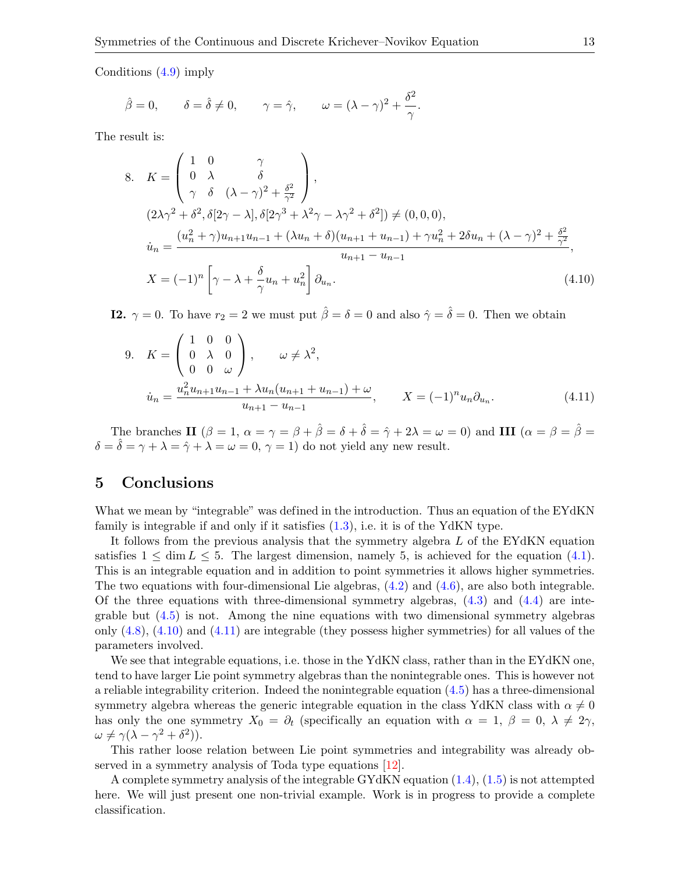Conditions [\(4.9\)](#page-11-0) imply

$$
\hat{\beta} = 0
$$
,  $\delta = \hat{\delta} \neq 0$ ,  $\gamma = \hat{\gamma}$ ,  $\omega = (\lambda - \gamma)^2 + \frac{\delta^2}{\gamma}$ .

The result is:

8. 
$$
K = \begin{pmatrix} 1 & 0 & \gamma \\ 0 & \lambda & \delta \\ \gamma & \delta & (\lambda - \gamma)^2 + \frac{\delta^2}{\gamma^2} \end{pmatrix},
$$
  
\n
$$
(2\lambda\gamma^2 + \delta^2, \delta[2\gamma - \lambda], \delta[2\gamma^3 + \lambda^2\gamma - \lambda\gamma^2 + \delta^2]) \neq (0, 0, 0),
$$
  
\n
$$
\dot{u}_n = \frac{(u_n^2 + \gamma)u_{n+1}u_{n-1} + (\lambda u_n + \delta)(u_{n+1} + u_{n-1}) + \gamma u_n^2 + 2\delta u_n + (\lambda - \gamma)^2 + \frac{\delta^2}{\gamma^2}}{u_{n+1} - u_{n-1}},
$$
  
\n
$$
X = (-1)^n \left[ \gamma - \lambda + \frac{\delta}{\gamma}u_n + u_n^2 \right] \partial_{u_n}.
$$
  
\n(4.10)

**I2.**  $\gamma = 0$ . To have  $r_2 = 2$  we must put  $\hat{\beta} = \delta = 0$  and also  $\hat{\gamma} = \hat{\delta} = 0$ . Then we obtain

<span id="page-12-1"></span><span id="page-12-0"></span>9. 
$$
K = \begin{pmatrix} 1 & 0 & 0 \\ 0 & \lambda & 0 \\ 0 & 0 & \omega \end{pmatrix}
$$
,  $\omega \neq \lambda^2$ ,  

$$
\dot{u}_n = \frac{u_n^2 u_{n+1} u_{n-1} + \lambda u_n (u_{n+1} + u_{n-1}) + \omega}{u_{n+1} - u_{n-1}}, \qquad X = (-1)^n u_n \partial_{u_n}.
$$
 (4.11)

The branches II  $(\beta = 1, \alpha = \gamma = \beta + \hat{\beta} = \delta + \hat{\delta} = \hat{\gamma} + 2\lambda = \omega = 0)$  and III  $(\alpha = \beta = \hat{\beta} = \hat{\beta} = \hat{\gamma} = \hat{\gamma} = \hat{\gamma} = \hat{\gamma} = \hat{\gamma} = \hat{\gamma} = \hat{\gamma} = \hat{\gamma} = \hat{\gamma} = \hat{\gamma} = \hat{\gamma} = \hat{\gamma} = \hat{\gamma} = \hat{\gamma} = \hat{\gamma} = \hat{\gamma} = \hat{\gamma} = \hat{\gamma} = \hat{\gamma} = \hat{\gamma} = \hat{\gamma} = \hat$  $\delta = \hat{\delta} = \gamma + \lambda = \hat{\gamma} + \lambda = \omega = 0, \, \gamma = 1$  do not yield any new result.

#### 5 Conclusions

What we mean by "integrable" was defined in the introduction. Thus an equation of the EYdKN family is integrable if and only if it satisfies [\(1.3\)](#page-1-1), i.e. it is of the YdKN type.

It follows from the previous analysis that the symmetry algebra L of the EYdKN equation satisfies  $1 \le \dim L \le 5$ . The largest dimension, namely 5, is achieved for the equation [\(4.1\)](#page-8-0). This is an integrable equation and in addition to point symmetries it allows higher symmetries. The two equations with four-dimensional Lie algebras,  $(4.2)$  and  $(4.6)$ , are also both integrable. Of the three equations with three-dimensional symmetry algebras,  $(4.3)$  and  $(4.4)$  are integrable but [\(4.5\)](#page-9-1) is not. Among the nine equations with two dimensional symmetry algebras only  $(4.8)$ ,  $(4.10)$  and  $(4.11)$  are integrable (they possess higher symmetries) for all values of the parameters involved.

We see that integrable equations, i.e. those in the YdKN class, rather than in the EYdKN one, tend to have larger Lie point symmetry algebras than the nonintegrable ones. This is however not a reliable integrability criterion. Indeed the nonintegrable equation [\(4.5\)](#page-9-1) has a three-dimensional symmetry algebra whereas the generic integrable equation in the class YdKN class with  $\alpha \neq 0$ has only the one symmetry  $X_0 = \partial_t$  (specifically an equation with  $\alpha = 1, \beta = 0, \lambda \neq 2\gamma$ )  $\omega \neq \gamma(\lambda - \gamma^2 + \delta^2)).$ 

This rather loose relation between Lie point symmetries and integrability was already observed in a symmetry analysis of Toda type equations [\[12\]](#page-14-22).

A complete symmetry analysis of the integrable GYdKN equation [\(1.4\)](#page-1-4), [\(1.5\)](#page-1-5) is not attempted here. We will just present one non-trivial example. Work is in progress to provide a complete classification.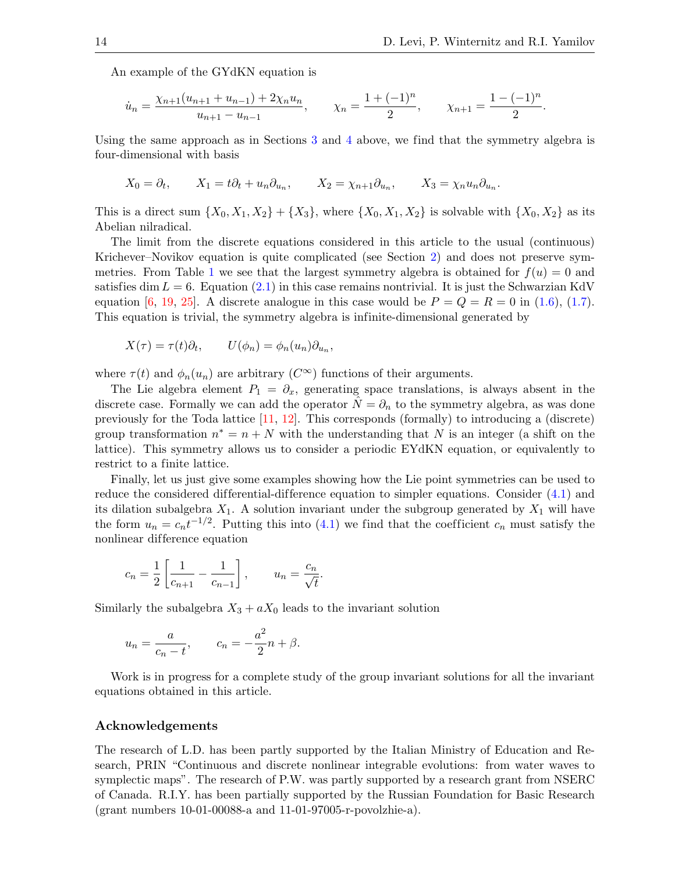.

An example of the GYdKN equation is

$$
\dot{u}_n = \frac{\chi_{n+1}(u_{n+1} + u_{n-1}) + 2\chi_n u_n}{u_{n+1} - u_{n-1}}, \qquad \chi_n = \frac{1 + (-1)^n}{2}, \qquad \chi_{n+1} = \frac{1 - (-1)^n}{2}
$$

Using the same approach as in Sections [3](#page-4-0) and [4](#page-7-0) above, we find that the symmetry algebra is four-dimensional with basis

$$
X_0 = \partial_t
$$
,  $X_1 = t\partial_t + u_n \partial_{u_n}$ ,  $X_2 = \chi_{n+1} \partial_{u_n}$ ,  $X_3 = \chi_n u_n \partial_{u_n}$ .

This is a direct sum  $\{X_0, X_1, X_2\} + \{X_3\}$ , where  $\{X_0, X_1, X_2\}$  is solvable with  $\{X_0, X_2\}$  as its Abelian nilradical.

The limit from the discrete equations considered in this article to the usual (continuous) Krichever–Novikov equation is quite complicated (see Section [2\)](#page-2-0) and does not preserve sym-metries. From Table [1](#page-4-1) we see that the largest symmetry algebra is obtained for  $f(u) = 0$  and satisfies dim  $L = 6$ . Equation [\(2.1\)](#page-2-1) in this case remains nontrivial. It is just the Schwarzian KdV equation [\[6,](#page-14-23) [19,](#page-14-24) [25\]](#page-14-25). A discrete analogue in this case would be  $P = Q = R = 0$  in [\(1.6\)](#page-1-2), [\(1.7\)](#page-1-3). This equation is trivial, the symmetry algebra is infinite-dimensional generated by

$$
X(\tau) = \tau(t)\partial_t, \qquad U(\phi_n) = \phi_n(u_n)\partial_{u_n},
$$

where  $\tau(t)$  and  $\phi_n(u_n)$  are arbitrary  $(C^{\infty})$  functions of their arguments.

The Lie algebra element  $P_1 = \partial_x$ , generating space translations, is always absent in the discrete case. Formally we can add the operator  $N = \partial_n$  to the symmetry algebra, as was done previously for the Toda lattice [\[11,](#page-14-15) [12\]](#page-14-22). This corresponds (formally) to introducing a (discrete) group transformation  $n^* = n + N$  with the understanding that N is an integer (a shift on the lattice). This symmetry allows us to consider a periodic EYdKN equation, or equivalently to restrict to a finite lattice.

Finally, let us just give some examples showing how the Lie point symmetries can be used to reduce the considered differential-difference equation to simpler equations. Consider  $(4.1)$  and its dilation subalgebra  $X_1$ . A solution invariant under the subgroup generated by  $X_1$  will have the form  $u_n = c_n t^{-1/2}$ . Putting this into [\(4.1\)](#page-8-0) we find that the coefficient  $c_n$  must satisfy the nonlinear dif ference equation

$$
c_n = \frac{1}{2} \left[ \frac{1}{c_{n+1}} - \frac{1}{c_{n-1}} \right], \qquad u_n = \frac{c_n}{\sqrt{t}}.
$$

Similarly the subalgebra  $X_3 + aX_0$  leads to the invariant solution

$$
u_n = \frac{a}{c_n - t}, \qquad c_n = -\frac{a^2}{2}n + \beta.
$$

Work is in progress for a complete study of the group invariant solutions for all the invariant equations obtained in this article.

#### Acknowledgements

The research of L.D. has been partly supported by the Italian Ministry of Education and Research, PRIN "Continuous and discrete nonlinear integrable evolutions: from water waves to symplectic maps". The research of P.W. was partly supported by a research grant from NSERC of Canada. R.I.Y. has been partially supported by the Russian Foundation for Basic Research (grant numbers 10-01-00088-a and 11-01-97005-r-povolzhie-a).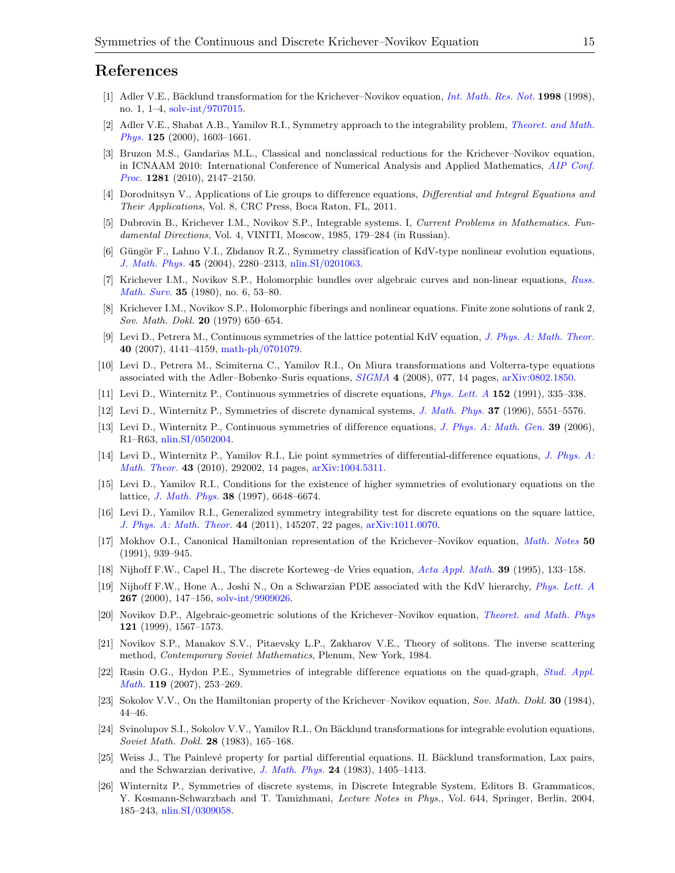#### References

- <span id="page-14-8"></span>[1] Adler V.E., Bäcklund transformation for the Krichever–Novikov equation, *[Int. Math. Res. Not.](http://dx.doi.org/10.1155/S1073792898000014)* **1998** (1998), no. 1, 1–4, [solv-int/9707015.](http://arxiv.org/abs/solv-int/9707015)
- <span id="page-14-13"></span>[2] Adler V.E., Shabat A.B., Yamilov R.I., Symmetry approach to the integrability problem, *[Theoret. and Math.](http://dx.doi.org/10.1023/A:1026602012111)* [Phys.](http://dx.doi.org/10.1023/A:1026602012111) 125 (2000), 1603–1661.
- <span id="page-14-9"></span>[3] Bruzon M.S., Gandarias M.L., Classical and nonclassical reductions for the Krichever–Novikov equation, in ICNAAM 2010: International Conference of Numerical Analysis and Applied Mathematics, [AIP Conf.](http://dx.doi.org/10.1063/1.3498390) [Proc.](http://dx.doi.org/10.1063/1.3498390) 1281 (2010), 2147–2150.
- <span id="page-14-14"></span>[4] Dorodnitsyn V., Applications of Lie groups to difference equations, Differential and Integral Equations and Their Applications, Vol. 8, CRC Press, Boca Raton, FL, 2011.
- <span id="page-14-4"></span>[5] Dubrovin B., Krichever I.M., Novikov S.P., Integrable systems. I, Current Problems in Mathematics. Fundamental Directions, Vol. 4, VINITI, Moscow, 1985, 179–284 (in Russian).
- <span id="page-14-23"></span>[6] Güngör F., Lahno V.I., Zhdanov R.Z., Symmetry classification of KdV-type nonlinear evolution equations, [J. Math. Phys.](http://dx.doi.org/10.1063/1.1737811) 45 (2004), 2280–2313, [nlin.SI/0201063.](http://arxiv.org/abs/nlin.SI/0201063)
- <span id="page-14-0"></span>[7] Krichever I.M., Novikov S.P., Holomorphic bundles over algebraic curves and non-linear equations, [Russ.](http://dx.doi.org/10.1070/RM1980v035n06ABEH001974) [Math. Surv.](http://dx.doi.org/10.1070/RM1980v035n06ABEH001974) 35 (1980), no. 6, 53–80.
- <span id="page-14-1"></span>[8] Krichever I.M., Novikov S.P., Holomorphic fiberings and nonlinear equations. Finite zone solutions of rank 2, Sov. Math. Dokl. 20 (1979) 650–654.
- <span id="page-14-20"></span>[9] Levi D., Petrera M., Continuous symmetries of the lattice potential KdV equation, [J. Phys. A: Math. Theor.](http://dx.doi.org/10.1088/1751-8113/40/15/006) 40 (2007), 4141–4159, [math-ph/0701079.](http://arxiv.org/abs/math-ph/0701079)
- <span id="page-14-10"></span>[10] Levi D., Petrera M., Scimiterna C., Yamilov R.I., On Miura transformations and Volterra-type equations associated with the Adler–Bobenko–Suris equations, [SIGMA](http://dx.doi.org/10.3842/SIGMA.2008.077) 4 (2008), 077, 14 pages, [arXiv:0802.1850.](http://arxiv.org/abs/0802.1850)
- <span id="page-14-15"></span>[11] Levi D., Winternitz P., Continuous symmetries of discrete equations, [Phys. Lett. A](http://dx.doi.org/10.1016/0375-9601(91)90733-O) 152 (1991), 335–338.
- <span id="page-14-22"></span>[12] Levi D., Winternitz P., Symmetries of discrete dynamical systems, [J. Math. Phys.](http://dx.doi.org/10.1063/1.531722) 37 (1996), 5551–5576.
- <span id="page-14-16"></span>[13] Levi D., Winternitz P., Continuous symmetries of difference equations, [J. Phys. A: Math. Gen.](http://dx.doi.org/10.1088/0305-4470/39/2/R01) 39 (2006), R1–R63, [nlin.SI/0502004.](http://arxiv.org/abs/nlin.SI/0502004)
- <span id="page-14-18"></span>[14] Levi D., Winternitz P., Yamilov R.I., Lie point symmetries of differential-difference equations, [J. Phys. A:](http://dx.doi.org/10.1088/1751-8113/43/29/292002) [Math. Theor.](http://dx.doi.org/10.1088/1751-8113/43/29/292002) 43 (2010), 292002, 14 pages, [arXiv:1004.5311.](http://arxiv.org/abs/1004.5311)
- <span id="page-14-12"></span>[15] Levi D., Yamilov R.I., Conditions for the existence of higher symmetries of evolutionary equations on the lattice, [J. Math. Phys.](http://dx.doi.org/10.1063/1.532230) 38 (1997), 6648–6674.
- <span id="page-14-11"></span>[16] Levi D., Yamilov R.I., Generalized symmetry integrability test for discrete equations on the square lattice, [J. Phys. A: Math. Theor.](http://dx.doi.org/10.1088/1751-8113/44/14/145207) 44 (2011), 145207, 22 pages, [arXiv:1011.0070.](http://arxiv.org/abs/1011.0070)
- <span id="page-14-7"></span>[17] Mokhov O.I., Canonical Hamiltonian representation of the Krichever–Novikov equation, *[Math. Notes](http://dx.doi.org/10.1007/BF01156139)* 50 (1991), 939–945.
- <span id="page-14-19"></span>[18] Nijhoff F.W., Capel H., The discrete Korteweg–de Vries equation, [Acta Appl. Math.](http://dx.doi.org/10.1007/BF00994631) 39 (1995), 133–158.
- <span id="page-14-24"></span>[19] Nijhoff F.W., Hone A., Joshi N., On a Schwarzian PDE associated with the KdV hierarchy, [Phys. Lett. A](http://dx.doi.org/10.1016/S0375-9601(00)00063-3) 267 (2000), 147–156, [solv-int/9909026.](http://arxiv.org/abs/solv-int/9909026)
- <span id="page-14-5"></span>[20] Novikov D.P., Algebraic-geometric solutions of the Krichever–Novikov equation, [Theoret. and Math. Phys](http://dx.doi.org/10.1007/BF02557203) 121 (1999), 1567–1573.
- <span id="page-14-2"></span>[21] Novikov S.P., Manakov S.V., Pitaevsky L.P., Zakharov V.E., Theory of solitons. The inverse scattering method, Contemporary Soviet Mathematics, Plenum, New York, 1984.
- <span id="page-14-21"></span>[22] Rasin O.G., Hydon P.E., Symmetries of integrable difference equations on the quad-graph, [Stud. Appl.](http://dx.doi.org/10.1111/j.1467-9590.2007.00385.x) [Math.](http://dx.doi.org/10.1111/j.1467-9590.2007.00385.x) 119 (2007), 253–269.
- <span id="page-14-6"></span>[23] Sokolov V.V., On the Hamiltonian property of the Krichever–Novikov equation, Sov. Math. Dokl. 30 (1984), 44–46.
- <span id="page-14-3"></span>[24] Svinolupov S.I., Sokolov V.V., Yamilov R.I., On Bäcklund transformations for integrable evolution equations, Soviet Math. Dokl. 28 (1983), 165–168.
- <span id="page-14-25"></span>[25] Weiss J., The Painlevé property for partial differential equations. II. Bäcklund transformation, Lax pairs, and the Schwarzian derivative, [J. Math. Phys.](http://dx.doi.org/10.1063/1.525875) 24 (1983), 1405–1413.
- <span id="page-14-17"></span>[26] Winternitz P., Symmetries of discrete systems, in Discrete Integrable System, Editors B. Grammaticos, Y. Kosmann-Schwarzbach and T. Tamizhmani, Lecture Notes in Phys., Vol. 644, Springer, Berlin, 2004, 185–243, [nlin.SI/0309058.](http://arxiv.org/abs/nlin.SI/0309058)